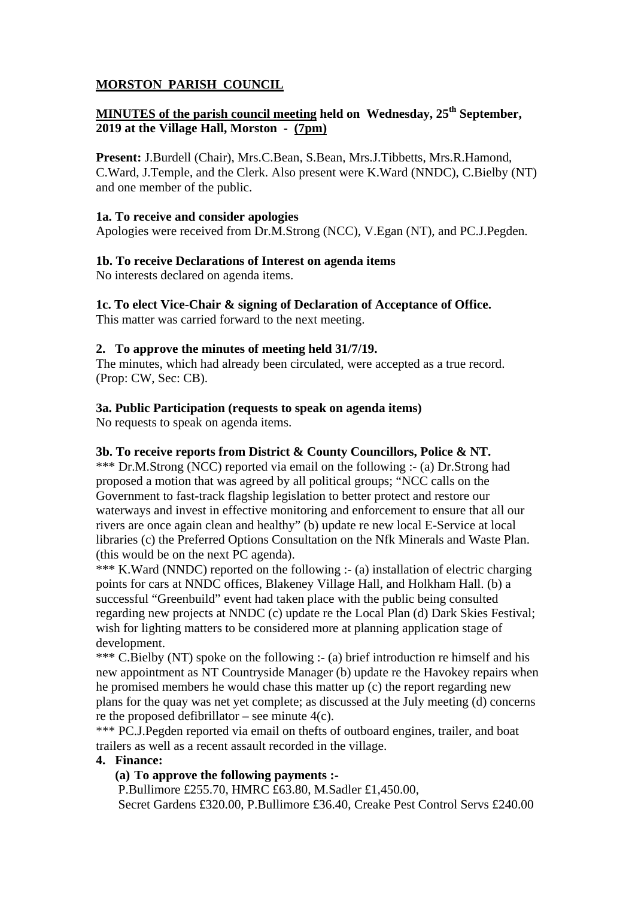# **MORSTON PARISH COUNCIL**

# **MINUTES of the parish council meeting held on Wednesday, 25<sup>th</sup> September, 2019 at the Village Hall, Morston - (7pm)**

**Present:** J.Burdell (Chair), Mrs.C.Bean, S.Bean, Mrs.J.Tibbetts, Mrs.R.Hamond, C.Ward, J.Temple, and the Clerk. Also present were K.Ward (NNDC), C.Bielby (NT) and one member of the public.

## **1a. To receive and consider apologies**

Apologies were received from Dr.M.Strong (NCC), V.Egan (NT), and PC.J.Pegden.

## **1b. To receive Declarations of Interest on agenda items**

No interests declared on agenda items.

## **1c. To elect Vice-Chair & signing of Declaration of Acceptance of Office.**

This matter was carried forward to the next meeting.

## **2. To approve the minutes of meeting held 31/7/19.**

The minutes, which had already been circulated, were accepted as a true record. (Prop: CW, Sec: CB).

## **3a. Public Participation (requests to speak on agenda items)**

No requests to speak on agenda items.

## **3b. To receive reports from District & County Councillors, Police & NT.**

\*\*\* Dr.M.Strong (NCC) reported via email on the following :- (a) Dr.Strong had proposed a motion that was agreed by all political groups; "NCC calls on the Government to fast-track flagship legislation to better protect and restore our waterways and invest in effective monitoring and enforcement to ensure that all our rivers are once again clean and healthy" (b) update re new local E-Service at local libraries (c) the Preferred Options Consultation on the Nfk Minerals and Waste Plan. (this would be on the next PC agenda).

\*\*\* K.Ward (NNDC) reported on the following :- (a) installation of electric charging points for cars at NNDC offices, Blakeney Village Hall, and Holkham Hall. (b) a successful "Greenbuild" event had taken place with the public being consulted regarding new projects at NNDC (c) update re the Local Plan (d) Dark Skies Festival; wish for lighting matters to be considered more at planning application stage of development.

\*\*\* C.Bielby (NT) spoke on the following :- (a) brief introduction re himself and his new appointment as NT Countryside Manager (b) update re the Havokey repairs when he promised members he would chase this matter up (c) the report regarding new plans for the quay was net yet complete; as discussed at the July meeting (d) concerns re the proposed defibrillator – see minute  $4(c)$ .

\*\*\* PC.J.Pegden reported via email on thefts of outboard engines, trailer, and boat trailers as well as a recent assault recorded in the village.

## **4. Finance:**

## **(a) To approve the following payments :-**

P.Bullimore £255.70, HMRC £63.80, M.Sadler £1,450.00, Secret Gardens £320.00, P.Bullimore £36.40, Creake Pest Control Servs £240.00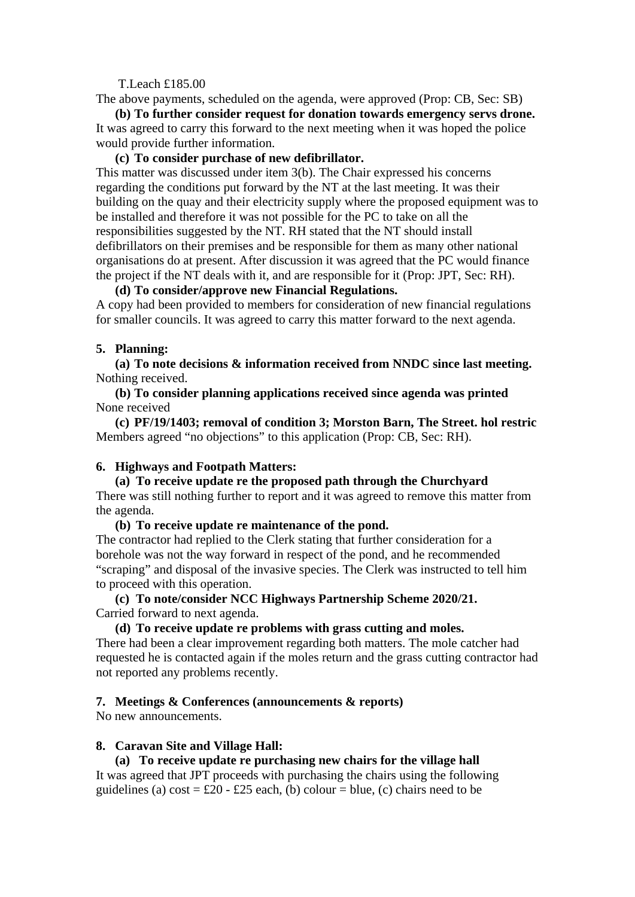#### T.Leach £185.00

The above payments, scheduled on the agenda, were approved (Prop: CB, Sec: SB)

**(b) To further consider request for donation towards emergency servs drone.**  It was agreed to carry this forward to the next meeting when it was hoped the police would provide further information.

### **(c) To consider purchase of new defibrillator.**

This matter was discussed under item 3(b). The Chair expressed his concerns regarding the conditions put forward by the NT at the last meeting. It was their building on the quay and their electricity supply where the proposed equipment was to be installed and therefore it was not possible for the PC to take on all the responsibilities suggested by the NT. RH stated that the NT should install defibrillators on their premises and be responsible for them as many other national organisations do at present. After discussion it was agreed that the PC would finance the project if the NT deals with it, and are responsible for it (Prop: JPT, Sec: RH).

## **(d) To consider/approve new Financial Regulations.**

A copy had been provided to members for consideration of new financial regulations for smaller councils. It was agreed to carry this matter forward to the next agenda.

#### **5. Planning:**

**(a) To note decisions & information received from NNDC since last meeting.**  Nothing received.

**(b) To consider planning applications received since agenda was printed**  None received

**(c) PF/19/1403; removal of condition 3; Morston Barn, The Street. hol restric**  Members agreed "no objections" to this application (Prop: CB, Sec: RH).

### **6. Highways and Footpath Matters:**

**(a) To receive update re the proposed path through the Churchyard**  There was still nothing further to report and it was agreed to remove this matter from the agenda.

#### **(b) To receive update re maintenance of the pond.**

The contractor had replied to the Clerk stating that further consideration for a borehole was not the way forward in respect of the pond, and he recommended "scraping" and disposal of the invasive species. The Clerk was instructed to tell him to proceed with this operation.

## **(c) To note/consider NCC Highways Partnership Scheme 2020/21.**  Carried forward to next agenda.

## **(d) To receive update re problems with grass cutting and moles.**

There had been a clear improvement regarding both matters. The mole catcher had requested he is contacted again if the moles return and the grass cutting contractor had not reported any problems recently.

## **7. Meetings & Conferences (announcements & reports)**

No new announcements.

#### **8. Caravan Site and Village Hall:**

#### **(a) To receive update re purchasing new chairs for the village hall**

It was agreed that JPT proceeds with purchasing the chairs using the following guidelines (a) cost =  $\pounds 20 - \pounds 25$  each, (b) colour = blue, (c) chairs need to be